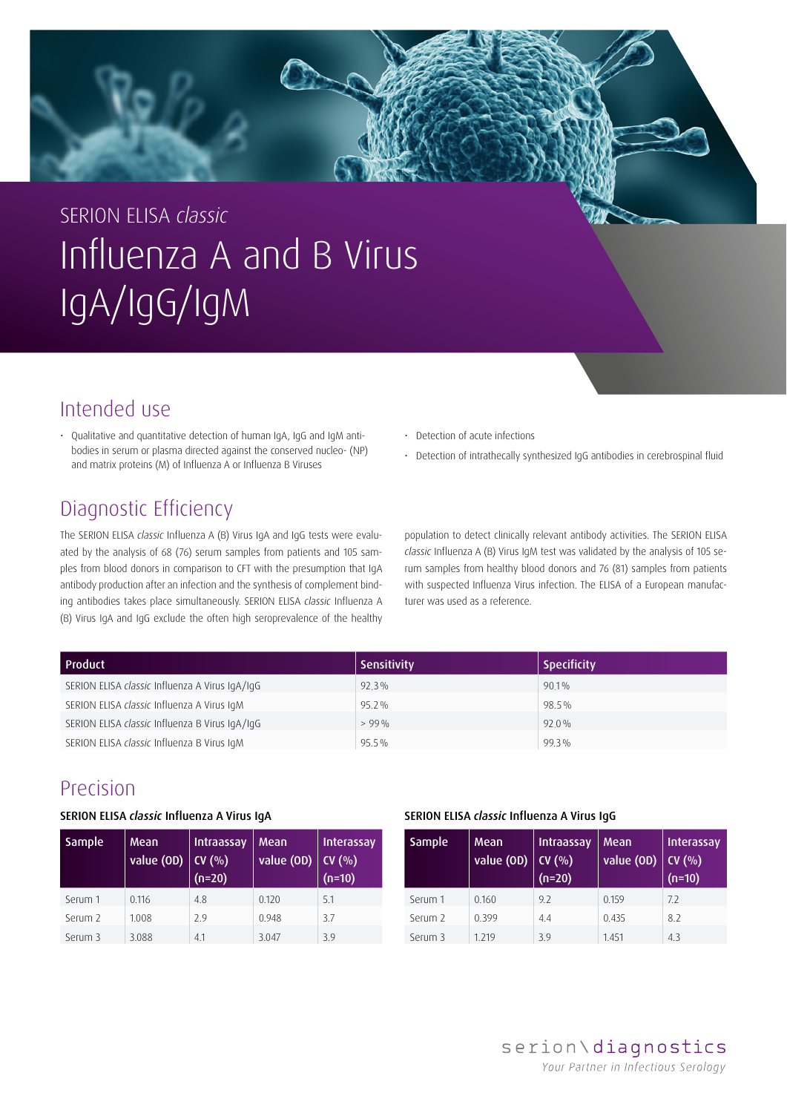

# SERION ELISA *classic* Influenza A and B Virus IgA/IgG/IgM

### Intended use

• Qualitative and quantitative detection of human IgA, IgG and IgM antibodies in serum or plasma directed against the conserved nucleo- (NP) and matrix proteins (M) of Influenza A or Influenza B Viruses

## Diagnostic Efficiency

The SERION ELISA *classic* Influenza A (B) Virus IgA and IgG tests were evaluated by the analysis of 68 (76) serum samples from patients and 105 samples from blood donors in comparison to CFT with the presumption that IgA antibody production after an infection and the synthesis of complement binding antibodies takes place simultaneously. SERION ELISA *classic* Influenza A (B) Virus IgA and IgG exclude the often high seroprevalence of the healthy

• Detection of acute infections

• Detection of intrathecally synthesized IgG antibodies in cerebrospinal fluid

population to detect clinically relevant antibody activities. The SERION ELISA *classic* Influenza A (B) Virus IgM test was validated by the analysis of 105 serum samples from healthy blood donors and 76 (81) samples from patients with suspected Influenza Virus infection. The ELISA of a European manufacturer was used as a reference.

| <b>Product</b>                                 | <b>Sensitivity</b> | <b>Specificity</b> |
|------------------------------------------------|--------------------|--------------------|
| SERION ELISA classic Influenza A Virus IgA/IgG | $92.3\%$           | $90.1\%$           |
| SERION ELISA classic Influenza A Virus IgM     | $95.2\%$           | 98.5%              |
| SERION ELISA classic Influenza B Virus IgA/IgG | $>99\%$            | $92.0\%$           |
| SERION ELISA classic Influenza B Virus IqM     | $95.5\%$           | 99.3%              |

### Precision

### SERION ELISA *classic* Influenza A Virus IgA

| Sample  | <b>Mean</b><br>value (OD) | Intraassay<br>CV(% )<br>$(n=20)$ | Mean<br>value (OD) | <b>Interassay</b><br>CV(% )<br>$(n=10)$ |
|---------|---------------------------|----------------------------------|--------------------|-----------------------------------------|
| Serum 1 | 0.116                     | 4.8                              | 0.120              | 5.1                                     |
| Serum 2 | 1.008                     | 2.9                              | 0.948              | 3.7                                     |
| Serum 3 | 3.088                     | 4.1                              | 3.047              | 39                                      |

#### SERION ELISA *classic* Influenza A Virus IgG

| <b>Sample</b> | Mean<br>value (OD) | Intraassay<br>CV(% )<br>$(n=20)$ | <b>Mean</b><br>value (OD) | <b>Interassay</b><br>CV(% )<br>$(n=10)$ |
|---------------|--------------------|----------------------------------|---------------------------|-----------------------------------------|
| Serum 1       | 0.160              | 9.2                              | 0.159                     | 7.2                                     |
| Serum 2       | 0.399              | 44                               | 0.435                     | 8.2                                     |
| Serum 3       | 1.219              | 39                               | 1.451                     | 4.3                                     |